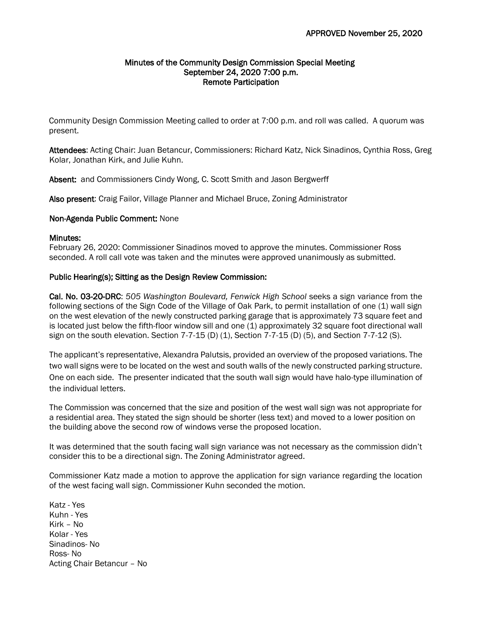### Minutes of the Community Design Commission Special Meeting September 24, 2020 7:00 p.m. Remote Participation

Community Design Commission Meeting called to order at 7:00 p.m. and roll was called. A quorum was present.

Attendees: Acting Chair: Juan Betancur, Commissioners: Richard Katz, Nick Sinadinos, Cynthia Ross, Greg Kolar, Jonathan Kirk, and Julie Kuhn.

Absent: and Commissioners Cindy Wong, C. Scott Smith and Jason Bergwerff

Also present: Craig Failor, Village Planner and Michael Bruce, Zoning Administrator

## Non-Agenda Public Comment: None

## Minutes:

February 26, 2020: Commissioner Sinadinos moved to approve the minutes. Commissioner Ross seconded. A roll call vote was taken and the minutes were approved unanimously as submitted.

## Public Hearing(s); Sitting as the Design Review Commission:

Cal. No. 03-20-DRC: *505 Washington Boulevard, Fenwick High School* seeks a sign variance from the following sections of the Sign Code of the Village of Oak Park, to permit installation of one (1) wall sign on the west elevation of the newly constructed parking garage that is approximately 73 square feet and is located just below the fifth-floor window sill and one (1) approximately 32 square foot directional wall sign on the south elevation. Section 7-7-15 (D) (1), Section 7-7-15 (D) (5), and Section 7-7-12 (S).

The applicant's representative, Alexandra Palutsis, provided an overview of the proposed variations. The two wall signs were to be located on the west and south walls of the newly constructed parking structure. One on each side. The presenter indicated that the south wall sign would have halo-type illumination of the individual letters.

The Commission was concerned that the size and position of the west wall sign was not appropriate for a residential area. They stated the sign should be shorter (less text) and moved to a lower position on the building above the second row of windows verse the proposed location.

It was determined that the south facing wall sign variance was not necessary as the commission didn't consider this to be a directional sign. The Zoning Administrator agreed.

Commissioner Katz made a motion to approve the application for sign variance regarding the location of the west facing wall sign. Commissioner Kuhn seconded the motion.

Katz - Yes Kuhn - Yes Kirk – No Kolar - Yes Sinadinos- No Ross- No Acting Chair Betancur – No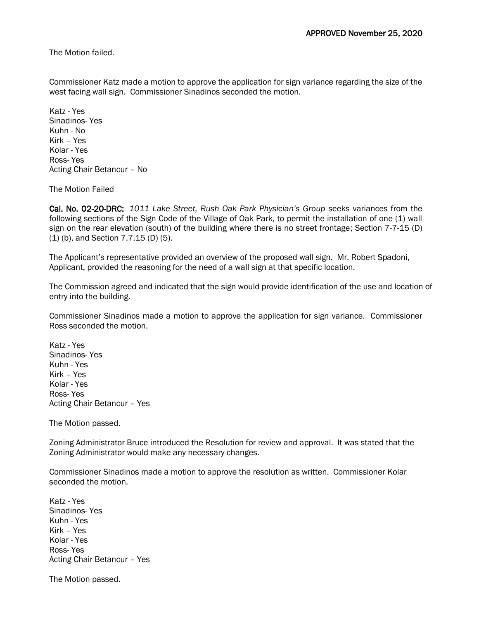The Motion failed.

Commissioner Katz made a motion to approve the application for sign variance regarding the size of the west facing wall sign. Commissioner Sinadinos seconded the motion.

Katz - Yes Sinadinos- Yes Kuhn - No Kirk – Yes Kolar - Yes Ross- Yes Acting Chair Betancur – No

The Motion Failed

Cal. No. 02-20-DRC: *1011 Lake Street, Rush Oak Park Physician's Group* seeks variances from the following sections of the Sign Code of the Village of Oak Park, to permit the installation of one (1) wall sign on the rear elevation (south) of the building where there is no street frontage; Section 7-7-15 (D) (1) (b), and Section 7.7.15 (D) (5).

The Applicant's representative provided an overview of the proposed wall sign. Mr. Robert Spadoni, Applicant, provided the reasoning for the need of a wall sign at that specific location.

The Commission agreed and indicated that the sign would provide identification of the use and location of entry into the building.

Commissioner Sinadinos made a motion to approve the application for sign variance. Commissioner Ross seconded the motion.

Katz - Yes Sinadinos- Yes Kuhn - Yes Kirk – Yes Kolar - Yes Ross- Yes Acting Chair Betancur – Yes

The Motion passed.

Zoning Administrator Bruce introduced the Resolution for review and approval. It was stated that the Zoning Administrator would make any necessary changes.

Commissioner Sinadinos made a motion to approve the resolution as written. Commissioner Kolar seconded the motion.

Katz - Yes Sinadinos- Yes Kuhn - Yes Kirk – Yes Kolar - Yes Ross- Yes Acting Chair Betancur – Yes

The Motion passed.